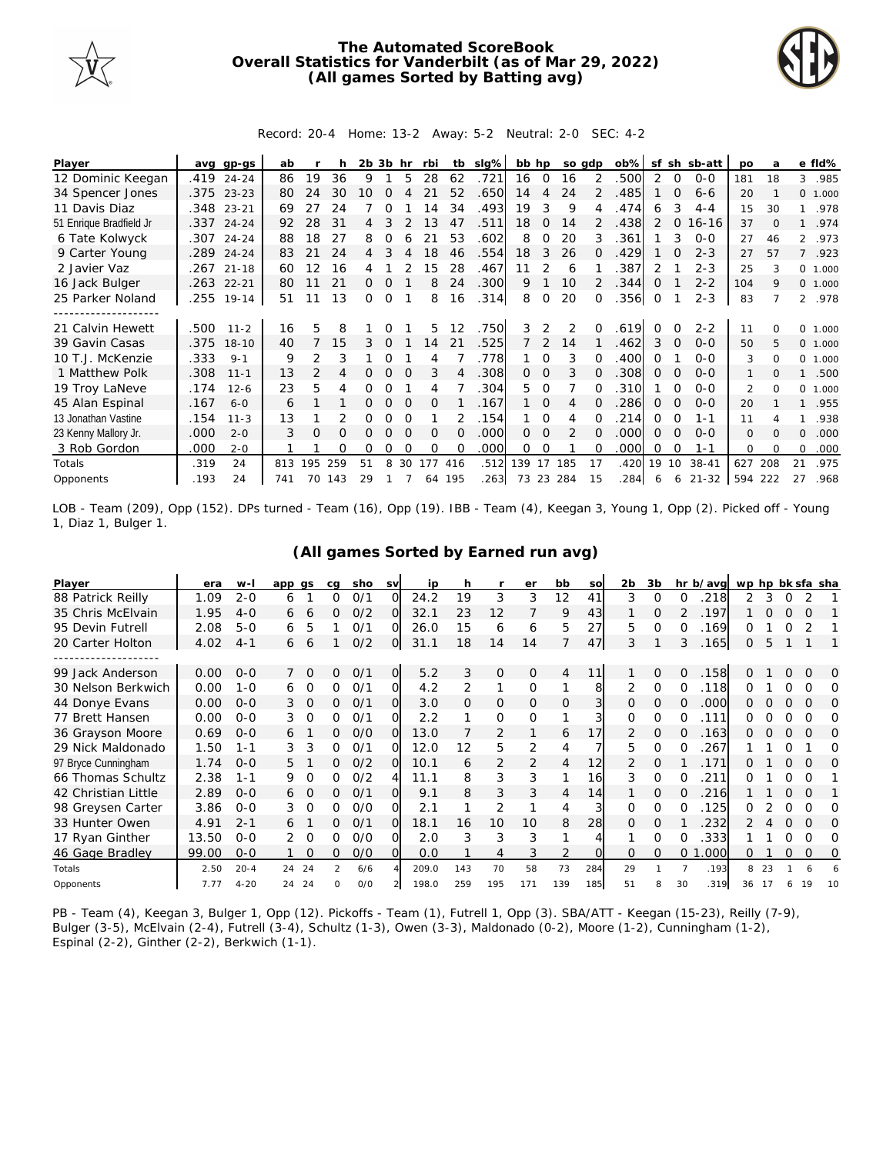

## **The Automated ScoreBook Overall Statistics for Vanderbilt (as of Mar 29, 2022) (All games Sorted by Batting avg)**



## Record: 20-4 Home: 13-2 Away: 5-2 Neutral: 2-0 SEC: 4-2

| Player                  | avq  | $qp-qs$    | ab  |               |     | 2b 3b |          | hr       | rbi      | tb       | slg% | bb hp |             | so adp        |               | ob%  | sf       | sh       | sb-att    | <b>DO</b>      | a        |                | e fld%   |
|-------------------------|------|------------|-----|---------------|-----|-------|----------|----------|----------|----------|------|-------|-------------|---------------|---------------|------|----------|----------|-----------|----------------|----------|----------------|----------|
| 12 Dominic Keegan       |      | .419 24-24 | 86  | 19            | 36  | 9     |          | 5        | 28       | 62       | .721 | 16    | $\mathbf 0$ | 16            | 2             | .500 |          | $\Omega$ | $0 - 0$   | 181            | 18       | 3              | .985     |
| 34 Spencer Jones        |      | .375 23-23 | 80  | 24            | 30  | 10    |          |          |          | 52       | .650 | 14    | 4           | 24            |               | .485 |          |          | $6 - 6$   | 20             |          |                | 0, 1,000 |
| 11 Davis Diaz           | .348 | $23 - 21$  | 69  | 27            | 24  |       |          |          | 14       | 34       | .493 | 19    | 3           | 9             |               | .474 | 6        | 3        | $4 - 4$   | 15             | 30       |                | .978     |
| 51 Enrique Bradfield Jr |      | .337 24-24 | 92  | 28            | 31  | 4     | 3        |          | 13       | 47       | .511 | 18    | 0           | 14            | $\mathcal{P}$ | .438 |          | 0        | $16 - 16$ | 37             | $\Omega$ |                | .974     |
| 6 Tate Kolwyck          |      | .307 24-24 | 88  | 18            | 27  | 8     | Ω        |          | 21       | 53       | .602 | 8     | 0           | 20            | 3             | .361 |          | 3        | $0 - 0$   | 27             | 46       | 2              | .973     |
| 9 Carter Young          | .289 | $24 - 24$  | 83  |               | 24  | 4     |          |          | 18       | 46       | .554 | 18    | 3           | 26            | 0             | .429 |          |          | $2 - 3$   | 27             | 57       | $\overline{7}$ | .923     |
| 2 Javier Vaz            | .267 | $21 - 18$  | 60  | 12            | 16  |       |          |          | 15       | 28       | .467 |       |             | 6             |               | .387 |          |          | $2 - 3$   | 25             |          |                | 0 1.000  |
| 16 Jack Bulger          | .263 | $22 - 21$  | 80  | 11            | 21  | 0     |          |          | 8        | 24       | .300 | 9     |             | 10            | $\mathcal{P}$ | .344 | O        |          | $2 - 2$   | 104            | 9        |                | 0 1.000  |
| 25 Parker Noland        | .255 | $19 - 14$  | 51  | 11            | 13  | 0     | $\Omega$ |          | 8        | 16       | .314 | 8     | $\Omega$    | 20            | $\Omega$      | .356 | $\Omega$ |          | $2 - 3$   | 83             |          | $\mathfrak{D}$ | .978     |
| ------------------      |      |            |     |               |     |       |          |          |          |          |      |       |             |               |               |      |          |          |           |                |          |                |          |
| 21 Calvin Hewett        | .500 | $11 - 2$   | 16  | 5             | 8   |       |          |          | 5.       | 12       | .750 | 3     | 2           | $\mathcal{P}$ |               | 619  | $\Omega$ |          | $2 - 2$   | 11             |          | 0              | 1.000    |
| 39 Gavin Casas          | .375 | $18 - 10$  | 40  |               | 15  | 3     | $\Omega$ |          | 14       | 21       | .525 | 7     | 2           | 14            |               | .462 | 3        |          | $0 - 0$   | 50             | 5.       |                | 0 1.000  |
| 10 T.J. McKenzie        | .333 | $9 - 1$    | 9   | 2             | 3   |       | Ω        |          | 4        |          | .778 |       | 0           | 3             | 0             | .400 | O        |          | $0 - 0$   | 3              | $\Omega$ | 0              | 1.000    |
| 1 Matthew Polk          | .308 | $11 - 1$   | 13  | $\mathcal{P}$ | 4   |       |          |          | 3        |          | .308 | 0     | $\Omega$    | 3             | 0             | .308 | 0        | ∩        | $0 - 0$   |                |          |                | .500     |
| 19 Troy LaNeve          | .174 | $12 - 6$   | 23  | 5             | 4   | Ω     |          |          | 4        |          | .304 | 5.    | 0           |               |               | 310  |          |          | $0 - 0$   | $\overline{2}$ |          | 0              | 1.000    |
| 45 Alan Espinal         | .167 | $6 - 0$    | 6   |               |     | 0     | $\Omega$ | $\Omega$ | 0        |          | .167 |       | $\Omega$    | 4             | 0             | 286  | 0        | 0        | $0 - 0$   | 20             |          |                | .955     |
| 13 Jonathan Vastine     | .154 | $11 - 3$   | 13  |               | 2   | 0     | Ω        |          |          |          | .154 |       | O           | 4             |               | 214  | Ω        | $\Omega$ | $1 - 1$   | 11             |          |                | .938     |
| 23 Kenny Mallory Jr.    | .000 | $2 - 0$    | 3   | $\Omega$      | 0   |       |          |          | $\Omega$ | $\Omega$ | .000 | 0     | $\Omega$    | $\mathcal{P}$ | 0             | .000 | $\Omega$ | $\Omega$ | $0 - 0$   | $\mathbf{0}$   | $\Omega$ | $\Omega$       | .000     |
| 3 Rob Gordon            | .000 | $2 - 0$    |     |               | Ω   | 0     | Ω        | ∩        | $\Omega$ | O        | .000 | 0     | O           |               | 0             | .000 | O        | $\Omega$ | 1-1       | $\Omega$       |          | $\Omega$       | .000     |
| Totals                  | .319 | 24         | 813 | 195           | 259 | 51    | 8        | 30       | 177      | 416      | .512 | 139   | 17          | 185           | 17            | .420 | 19       | 10       | $38 - 41$ | 627            | 208      | 21             | .975     |
| Opponents               | .193 | 24         | 741 | 70            | 143 | 29    |          |          |          | 64 195   | .263 | 73    | 23          | 284           | 15            | .284 | 6        | 6        | $21 - 32$ | 594            | 222      | 27             | .968     |

LOB - Team (209), Opp (152). DPs turned - Team (16), Opp (19). IBB - Team (4), Keegan 3, Young 1, Opp (2). Picked off - Young 1, Diaz 1, Bulger 1.

| Player              | era   | w-l      | app qs |          | cq            | sho | <b>SV</b>      | ip    | h   |                | er             | bb  | SO  | 2b            | 3b       |          | hr b/avg  | wp hp bk sfa sha |    |          |          |     |
|---------------------|-------|----------|--------|----------|---------------|-----|----------------|-------|-----|----------------|----------------|-----|-----|---------------|----------|----------|-----------|------------------|----|----------|----------|-----|
| 88 Patrick Reilly   | 1.09  | $2 - 0$  | 6      |          | Ω             | 0/1 | $\Omega$       | 24.2  | 19  | 3              | 3              | 12  | 41  | 3             | 0        | Ω        | 218       | 2                | 3  |          |          |     |
| 35 Chris McElvain   | 1.95  | $4 - 0$  | 6      | 6        | 0             | 0/2 | $\Omega$       | 32.1  | 23  | 12             |                | 9   | 43  |               | O        |          | .197      |                  | 0  |          | ∩        |     |
| 95 Devin Futrell    | 2.08  | $5 - 0$  | 6      | 5        |               | 0/1 | O              | 26.0  | 15  | 6              | 6              | 5   | 27  | 5             | O        |          | 169       | Ω                |    |          |          |     |
| 20 Carter Holton    | 4.02  | $4 - 1$  | 6      | 6        |               | O/2 | $\overline{O}$ | 31.1  | 18  | 14             | 14             |     | 47  | 3             |          | 3        | .165      | 0                | 5  |          |          |     |
|                     |       |          |        |          |               |     |                |       |     |                |                |     |     |               |          |          |           |                  |    |          |          |     |
| 99 Jack Anderson    | 0.00  | $O-O$    |        | $\Omega$ | 0             | 0/1 | O              | 5.2   | 3   | $\overline{O}$ | $\mathcal{O}$  | 4   | 11  |               | 0        | 0        | .158      | Ω                |    | $\Omega$ | $\Omega$ | O   |
| 30 Nelson Berkwich  | 0.00  | $1 - 0$  | 6      | $\Omega$ | Ω             | O/1 | O.             | 4.2   | 2   | 1              | $\Omega$       |     | 8   | 2             | $\Omega$ | 0        | 118       | Ω                |    |          | ∩        | Ω   |
| 44 Donye Evans      | 0.00  | $O-O$    | 3      | $\circ$  | 0             | 0/1 | Ol             | 3.0   | 0   | 0              | 0              | 0   |     | 0             | O        | 0        | .000      | O                |    | $\Omega$ | O        | O   |
| 77 Brett Hansen     | 0.00  | $O - O$  | 3      | $\Omega$ | 0             | 0/1 | O.             | 2.2   |     | 0              | $\Omega$       |     |     | 0             | 0        | 0        | 111       | Ω                |    |          |          | Ω   |
| 36 Grayson Moore    | 0.69  | $O - O$  | 6      |          | 0             | O/O | O.             | 13.0  |     | $\overline{2}$ |                | 6   | 17  | $\mathcal{P}$ | O        | O        | 163       | 0                |    |          | $\Omega$ | O   |
| 29 Nick Maldonado   | 1.50  | $1 - 1$  | 3      | 3        | Ω             | 0/1 | O.             | 12.0  | 12  | 5              | 2              | 4   |     | 5.            | 0        | Ω        | 267       |                  |    |          |          | Ω   |
| 97 Bryce Cunningham | 1.74  | $O-O$    | 5.     |          | 0             | O/2 | O.             | 10.1  | 6   | 2              | $\overline{2}$ | 4   | 12  | 2             | O        |          | 171       | Ω                |    |          | $\Omega$ | O   |
| 66 Thomas Schultz   | 2.38  | $1 - 1$  | 9      | Ω        | 0             | O/2 | 4              | 11.1  | 8   | 3              | 3              |     | 16  | 3             | $\Omega$ |          | 211       | O                |    |          |          |     |
| 42 Christian Little | 2.89  | $O - O$  | 6      | $\Omega$ | 0             | 0/1 | $\Omega$       | 9.1   | 8   | 3              | 3              | 4   | 14  |               | O        | O        | 216       |                  |    |          | $\Omega$ |     |
| 98 Greysen Carter   | 3.86  | $O - O$  | 3      | 0        | 0             | O/O | 0.             | 2.1   |     | 2              |                | 4   |     | 0             | 0        | O        | .125      | O                |    |          | O        | O   |
| 33 Hunter Owen      | 4.91  | $2 - 1$  | 6      |          | 0             | 0/1 | $\Omega$       | 18.1  | 16  | 10             | 10             | 8   | 28  | 0             | O        |          | 232       |                  |    | $\Omega$ | $\Omega$ | O   |
| 17 Ryan Ginther     | 13.50 | $O - O$  |        | $\Omega$ | 0             | O/O | O.             | 2.0   | 3   | 3              | 3              |     |     |               | O        |          | 333.      |                  |    |          | Ω        | O   |
| 46 Gage Bradley     | 99.00 | $O - O$  |        | $\Omega$ | 0             | O/O | $\Omega$       | 0.0   |     | 4              | 3              | 2   |     | O             | $\Omega$ | $\Omega$ | .000<br>1 | 0                |    | O        | $\Omega$ | 0   |
| Totals              | 2.50  | $20 - 4$ | 24     | 24       | $\mathcal{P}$ | 6/6 |                | 209.0 | 143 | 70             | 58             | 73  | 284 | 29            |          |          | .193      | 8                | 23 |          | 6        |     |
| Opponents           | 7.77  | $4 - 20$ | 24     | 24       | <sup>n</sup>  | O/O |                | 198.0 | 259 | 195            | 171            | 139 | 185 | 51            | 8        | 30       | .319      | 36               |    | 6        | 19       | -10 |

## **(All games Sorted by Earned run avg)**

PB - Team (4), Keegan 3, Bulger 1, Opp (12). Pickoffs - Team (1), Futrell 1, Opp (3). SBA/ATT - Keegan (15-23), Reilly (7-9), Bulger (3-5), McElvain (2-4), Futrell (3-4), Schultz (1-3), Owen (3-3), Maldonado (0-2), Moore (1-2), Cunningham (1-2), Espinal (2-2), Ginther (2-2), Berkwich (1-1).